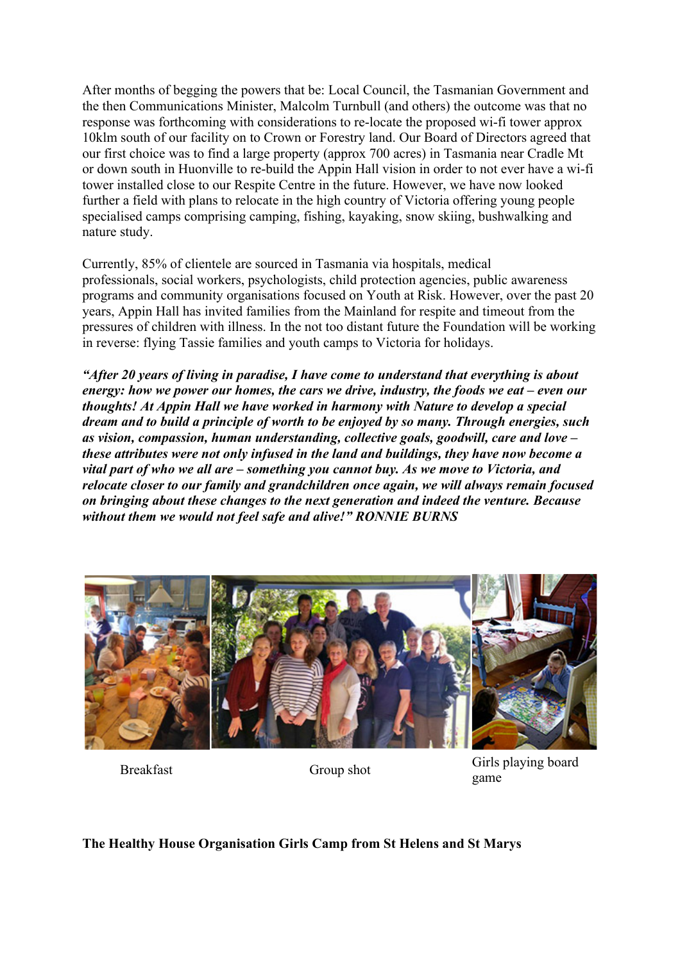After months of begging the powers that be: Local Council, the Tasmanian Government and the then Communications Minister, Malcolm Turnbull (and others) the outcome was that no response was forthcoming with considerations to re-locate the proposed wi-fi tower approx 10klm south of our facility on to Crown or Forestry land. Our Board of Directors agreed that our first choice was to find a large property (approx 700 acres) in Tasmania near Cradle Mt or down south in Huonville to re-build the Appin Hall vision in order to not ever have a wi-fi tower installed close to our Respite Centre in the future. However, we have now looked further a field with plans to relocate in the high country of Victoria offering young people specialised camps comprising camping, fishing, kayaking, snow skiing, bushwalking and nature study.

Currently, 85% of clientele are sourced in Tasmania via hospitals, medical professionals, social workers, psychologists, child protection agencies, public awareness programs and community organisations focused on Youth at Risk. However, over the past 20 years, Appin Hall has invited families from the Mainland for respite and timeout from the pressures of children with illness. In the not too distant future the Foundation will be working in reverse: flying Tassie families and youth camps to Victoria for holidays.

*"After 20 years of living in paradise, I have come to understand that everything is about energy: how we power our homes, the cars we drive, industry, the foods we eat – even our thoughts! At Appin Hall we have worked in harmony with Nature to develop a special dream and to build a principle of worth to be enjoyed by so many. Through energies, such as vision, compassion, human understanding, collective goals, goodwill, care and love – these attributes were not only infused in the land and buildings, they have now become a vital part of who we all are – something you cannot buy. As we move to Victoria, and relocate closer to our family and grandchildren once again, we will always remain focused on bringing about these changes to the next generation and indeed the venture. Because without them we would not feel safe and alive!" RONNIE BURNS*



Breakfast Group shot Group shot Girls playing board game

## **The Healthy House Organisation Girls Camp from St Helens and St Marys**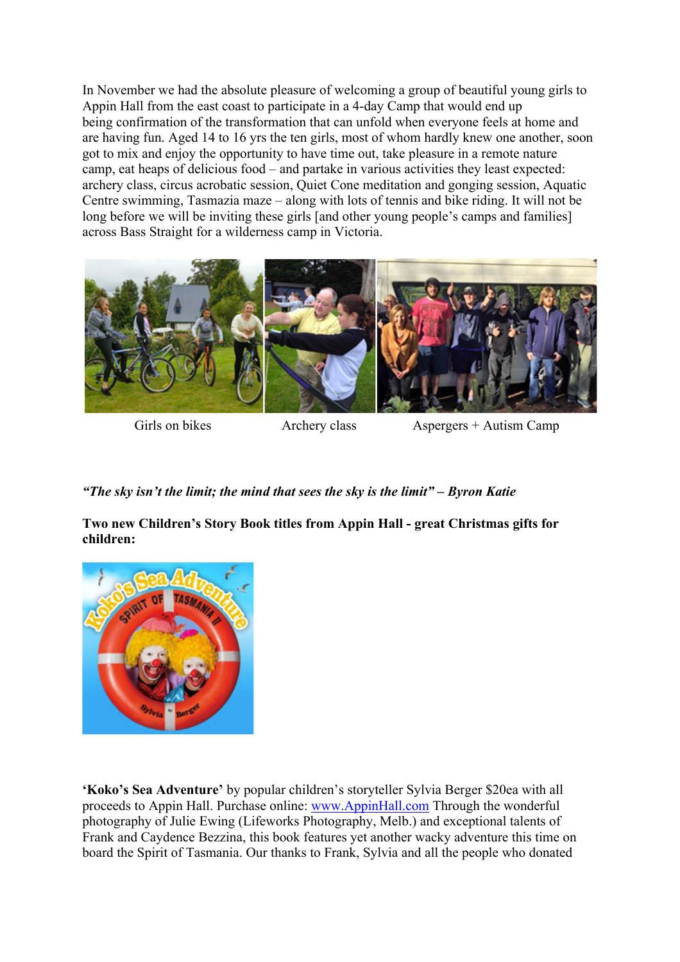In November we had the absolute pleasure of welcoming a group of beautiful young girls to Appin Hall from the east coast to participate in a 4-day Camp that would end up being confirmation of the transformation that can unfold when everyone feels at home and are having fun. Aged 14 to 16 yrs the ten girls, most of whom hardly knew one another, soon got to mix and enjoy the opportunity to have time out, take pleasure in a remote nature camp, eat heaps of delicious food – and partake in various activities they least expected: archery class, circus acrobatic session, Quiet Cone meditation and gonging session, Aquatic Centre swimming, Tasmazia maze – along with lots of tennis and bike riding. It will not be long before we will be inviting these girls [and other young people's camps and families] across Bass Straight for a wilderness camp in Victoria.



Girls on bikes Archery class Aspergers + Autism Camp

*"The sky isn't the limit; the mind that sees the sky is the limit" – Byron Katie*

**Two new Children's Story Book titles from Appin Hall - great Christmas gifts for children:**



**'Koko's Sea Adventure'** by popular children's storyteller Sylvia Berger \$20ea with all proceeds to Appin Hall. Purchase online: www.AppinHall.com Through the wonderful photography of Julie Ewing (Lifeworks Photography, Melb.) and exceptional talents of Frank and Caydence Bezzina, this book features yet another wacky adventure this time on board the Spirit of Tasmania. Our thanks to Frank, Sylvia and all the people who donated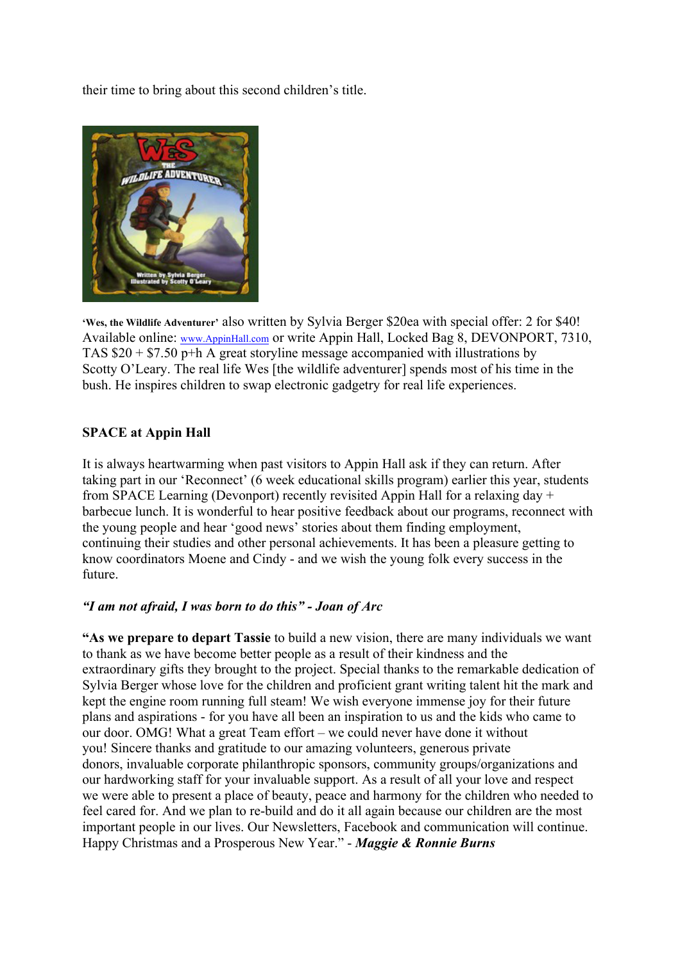their time to bring about this second children's title.



**'Wes, the Wildlife Adventurer'** also written by Sylvia Berger \$20ea with special offer: 2 for \$40! Available online: www.AppinHall.com or write Appin Hall, Locked Bag 8, DEVONPORT, 7310, TAS \$20 + \$7.50 p+h A great storyline message accompanied with illustrations by Scotty O'Leary. The real life Wes [the wildlife adventurer] spends most of his time in the bush. He inspires children to swap electronic gadgetry for real life experiences.

## **SPACE at Appin Hall**

It is always heartwarming when past visitors to Appin Hall ask if they can return. After taking part in our 'Reconnect' (6 week educational skills program) earlier this year, students from SPACE Learning (Devonport) recently revisited Appin Hall for a relaxing day + barbecue lunch. It is wonderful to hear positive feedback about our programs, reconnect with the young people and hear 'good news' stories about them finding employment, continuing their studies and other personal achievements. It has been a pleasure getting to know coordinators Moene and Cindy - and we wish the young folk every success in the future.

## *"I am not afraid, I was born to do this" - Joan of Arc*

**"As we prepare to depart Tassie** to build a new vision, there are many individuals we want to thank as we have become better people as a result of their kindness and the extraordinary gifts they brought to the project. Special thanks to the remarkable dedication of Sylvia Berger whose love for the children and proficient grant writing talent hit the mark and kept the engine room running full steam! We wish everyone immense joy for their future plans and aspirations - for you have all been an inspiration to us and the kids who came to our door. OMG! What a great Team effort – we could never have done it without you! Sincere thanks and gratitude to our amazing volunteers, generous private donors, invaluable corporate philanthropic sponsors, community groups/organizations and our hardworking staff for your invaluable support. As a result of all your love and respect we were able to present a place of beauty, peace and harmony for the children who needed to feel cared for. And we plan to re-build and do it all again because our children are the most important people in our lives. Our Newsletters, Facebook and communication will continue. Happy Christmas and a Prosperous New Year." - *Maggie & Ronnie Burns*